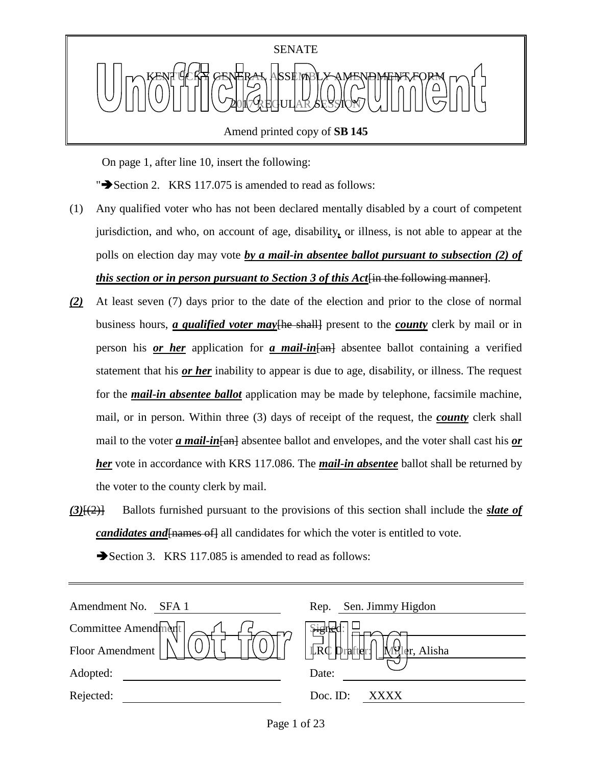

Amend printed copy of **SB 145**

On page 1, after line 10, insert the following:

" $\blacktriangleright$  Section 2. KRS 117.075 is amended to read as follows:

- (1) Any qualified voter who has not been declared mentally disabled by a court of competent jurisdiction, and who, on account of age, disability*,* or illness, is not able to appear at the polls on election day may vote *by a mail-in absentee ballot pursuant to subsection (2) of this section or in person pursuant to Section 3 of this Act*<sup>[in the following manner].</sup>
- *(2)* At least seven (7) days prior to the date of the election and prior to the close of normal business hours, *a qualified voter may* the shall present to the *county* clerk by mail or in person his *or her* application for *a mail-in*[an] absentee ballot containing a verified statement that his *or her* inability to appear is due to age, disability, or illness. The request for the *mail-in absentee ballot* application may be made by telephone, facsimile machine, mail, or in person. Within three (3) days of receipt of the request, the *county* clerk shall mail to the voter *a mail-in*[an] absentee ballot and envelopes, and the voter shall cast his *or her* vote in accordance with KRS 117.086. The *mail-in absentee* ballot shall be returned by the voter to the county clerk by mail.
- *(3)*[(2)] Ballots furnished pursuant to the provisions of this section shall include the *slate of candidates and* [*names of*] all candidates for which the voter is entitled to vote.

| Amendment No.<br>SFA 1 | Sen. Jimmy Higdon<br>Rep.         |
|------------------------|-----------------------------------|
| Committee Amendment    |                                   |
| Floor Amendment        | $LRC$ prafter:<br>er, Alisha<br>N |
| Adopted:               | Date:                             |
| Rejected:              | Doc. ID:<br>XXXX                  |

Section 3. KRS 117.085 is amended to read as follows: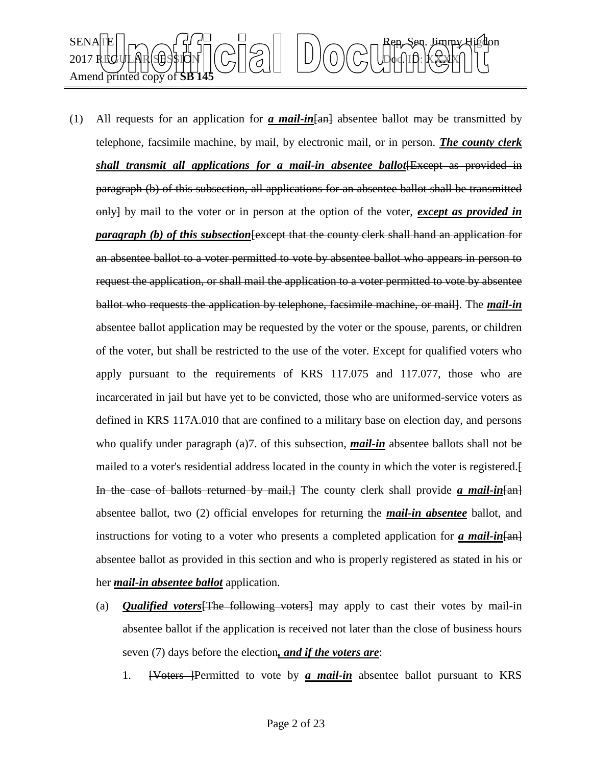

- (1) All requests for an application for  $\alpha$  mail-in  $\frac{1}{\alpha}$  absentee ballot may be transmitted by telephone, facsimile machine, by mail, by electronic mail, or in person. *The county clerk shall transmit all applications for a mail-in absentee ballot* Except as provided in paragraph (b) of this subsection, all applications for an absentee ballot shall be transmitted only] by mail to the voter or in person at the option of the voter, *except as provided in paragraph (b) of this subsection* [except that the county clerk shall hand an application for an absentee ballot to a voter permitted to vote by absentee ballot who appears in person to request the application, or shall mail the application to a voter permitted to vote by absentee ballot who requests the application by telephone, facsimile machine, or mail]. The *mail-in* absentee ballot application may be requested by the voter or the spouse, parents, or children of the voter, but shall be restricted to the use of the voter. Except for qualified voters who apply pursuant to the requirements of KRS 117.075 and 117.077, those who are incarcerated in jail but have yet to be convicted, those who are uniformed-service voters as defined in KRS 117A.010 that are confined to a military base on election day, and persons who qualify under paragraph (a)7. of this subsection, **mail-in** absentee ballots shall not be mailed to a voter's residential address located in the county in which the voter is registered.[ In the case of ballots returned by mail,] The county clerk shall provide *a mail-in*[an] absentee ballot, two (2) official envelopes for returning the *mail-in absentee* ballot, and instructions for voting to a voter who presents a completed application for *a mail-in*[an] absentee ballot as provided in this section and who is properly registered as stated in his or her *mail-in absentee ballot* application.
	- (a) *Qualified voters*[The following voters] may apply to cast their votes by mail-in absentee ballot if the application is received not later than the close of business hours seven (7) days before the election*, and if the voters are*:
		- 1. [Voters ]Permitted to vote by *a mail-in* absentee ballot pursuant to KRS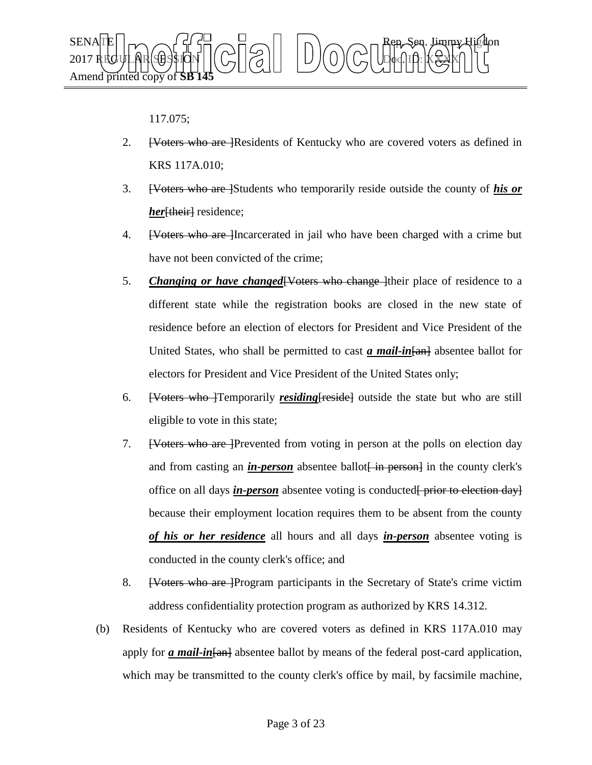

## 117.075;

- 2. <del>[Voters who are ]</del>Residents of Kentucky who are covered voters as defined in KRS 117A.010;
- 3. [Voters who are ]Students who temporarily reside outside the county of *his or her*<sup>[their]</sup> residence;
- 4. **EVoters who are let use** Incarcerated in jail who have been charged with a crime but have not been convicted of the crime;
- 5. *Changing or have changed* [Voters who change ] their place of residence to a different state while the registration books are closed in the new state of residence before an election of electors for President and Vice President of the United States, who shall be permitted to cast *a mail-in* [and absentee ballot for electors for President and Vice President of the United States only;
- 6. [Voters who ]Temporarily *residing*[reside] outside the state but who are still eligible to vote in this state;
- 7. [Voters who are ]Prevented from voting in person at the polls on election day and from casting an *in-person* absentee ballot in person in the county clerk's office on all days *in-person* absentee voting is conducted<del> prior to election day</del> because their employment location requires them to be absent from the county *of his or her residence* all hours and all days *in-person* absentee voting is conducted in the county clerk's office; and
- 8. [Voters who are ]Program participants in the Secretary of State's crime victim address confidentiality protection program as authorized by KRS 14.312.
- (b) Residents of Kentucky who are covered voters as defined in KRS 117A.010 may apply for *a mail-in*[an] absentee ballot by means of the federal post-card application, which may be transmitted to the county clerk's office by mail, by facsimile machine,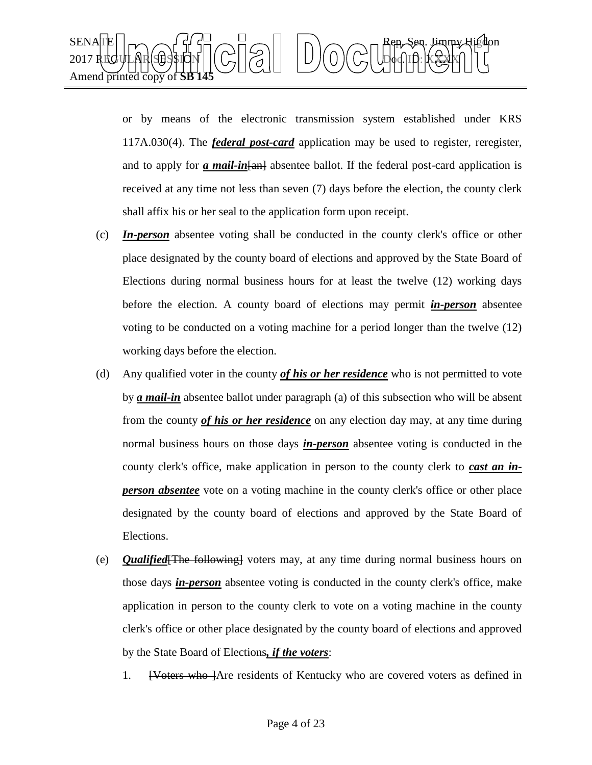

or by means of the electronic transmission system established under KRS 117A.030(4). The *federal post-card* application may be used to register, reregister, and to apply for *a mail-in*<sub>[an]</sub> absentee ballot. If the federal post-card application is received at any time not less than seven (7) days before the election, the county clerk shall affix his or her seal to the application form upon receipt.

- (c) *In-person* absentee voting shall be conducted in the county clerk's office or other place designated by the county board of elections and approved by the State Board of Elections during normal business hours for at least the twelve (12) working days before the election. A county board of elections may permit *in-person* absentee voting to be conducted on a voting machine for a period longer than the twelve (12) working days before the election.
- (d) Any qualified voter in the county *of his or her residence* who is not permitted to vote by *a mail-in* absentee ballot under paragraph (a) of this subsection who will be absent from the county *of his or her residence* on any election day may, at any time during normal business hours on those days *in-person* absentee voting is conducted in the county clerk's office, make application in person to the county clerk to *cast an inperson absentee* vote on a voting machine in the county clerk's office or other place designated by the county board of elections and approved by the State Board of Elections.
- (e) *Qualified*[The following] voters may, at any time during normal business hours on those days *in-person* absentee voting is conducted in the county clerk's office, make application in person to the county clerk to vote on a voting machine in the county clerk's office or other place designated by the county board of elections and approved by the State Board of Elections*, if the voters*:
	- 1. **EV** eters who are residents of Kentucky who are covered voters as defined in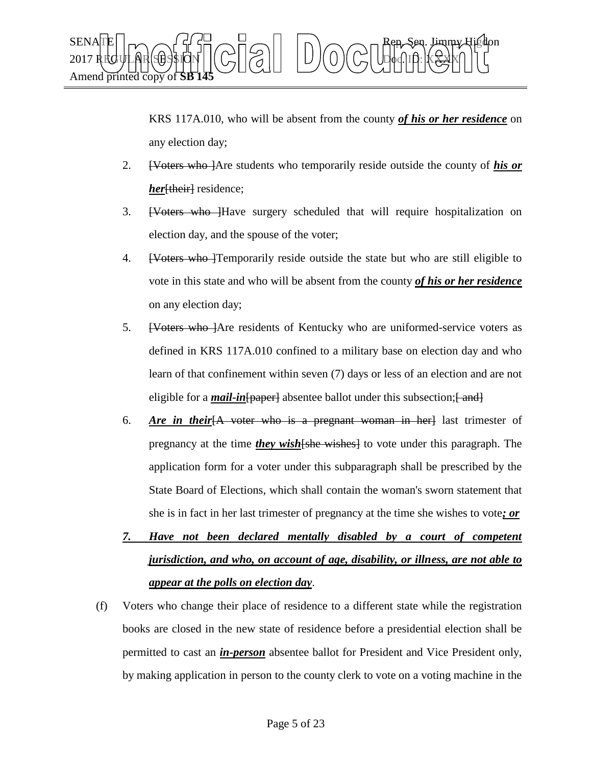

KRS 117A.010, who will be absent from the county *of his or her residence* on any election day;

- 2. [Voters who ]Are students who temporarily reside outside the county of *his or her*<sup>[their]</sup> residence;
- 3. **[Voters who ]**Have surgery scheduled that will require hospitalization on election day, and the spouse of the voter;
- 4. [Voters who ]Temporarily reside outside the state but who are still eligible to vote in this state and who will be absent from the county *of his or her residence* on any election day;
- 5. [Voters who ] Are residents of Kentucky who are uniformed-service voters as defined in KRS 117A.010 confined to a military base on election day and who learn of that confinement within seven (7) days or less of an election and are not eligible for a *mail-in* [paper] absentee ballot under this subsection; [ and]
- 6. *Are in their*[A voter who is a pregnant woman in her] last trimester of pregnancy at the time *they wish*[she wishes] to vote under this paragraph. The application form for a voter under this subparagraph shall be prescribed by the State Board of Elections, which shall contain the woman's sworn statement that she is in fact in her last trimester of pregnancy at the time she wishes to vote*; or*
- *7. Have not been declared mentally disabled by a court of competent jurisdiction, and who, on account of age, disability, or illness, are not able to appear at the polls on election day*.
- (f) Voters who change their place of residence to a different state while the registration books are closed in the new state of residence before a presidential election shall be permitted to cast an *in-person* absentee ballot for President and Vice President only, by making application in person to the county clerk to vote on a voting machine in the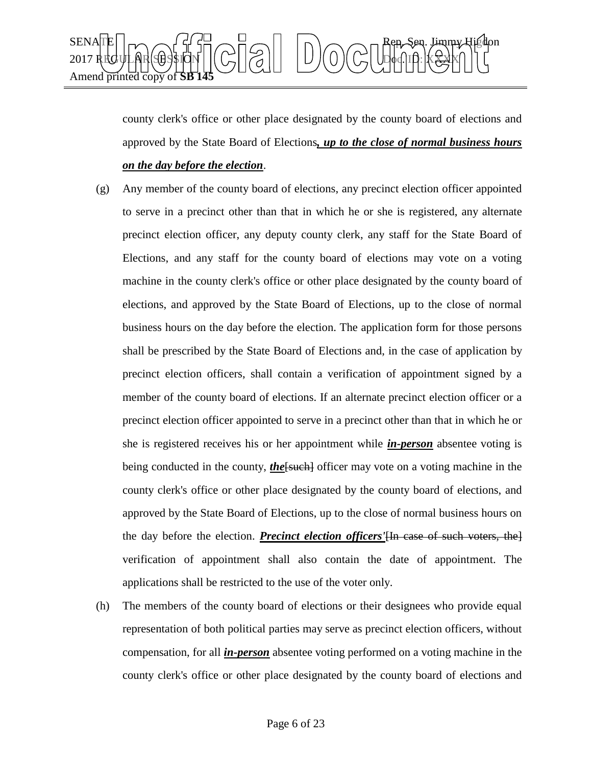

county clerk's office or other place designated by the county board of elections and approved by the State Board of Elections*, up to the close of normal business hours on the day before the election*.

- (g) Any member of the county board of elections, any precinct election officer appointed to serve in a precinct other than that in which he or she is registered, any alternate precinct election officer, any deputy county clerk, any staff for the State Board of Elections, and any staff for the county board of elections may vote on a voting machine in the county clerk's office or other place designated by the county board of elections, and approved by the State Board of Elections, up to the close of normal business hours on the day before the election. The application form for those persons shall be prescribed by the State Board of Elections and, in the case of application by precinct election officers, shall contain a verification of appointment signed by a member of the county board of elections. If an alternate precinct election officer or a precinct election officer appointed to serve in a precinct other than that in which he or she is registered receives his or her appointment while *in-person* absentee voting is being conducted in the county, *the*[such] officer may vote on a voting machine in the county clerk's office or other place designated by the county board of elections, and approved by the State Board of Elections, up to the close of normal business hours on the day before the election. *Precinct election officers'*[In case of such voters, the] verification of appointment shall also contain the date of appointment. The applications shall be restricted to the use of the voter only.
- (h) The members of the county board of elections or their designees who provide equal representation of both political parties may serve as precinct election officers, without compensation, for all *in-person* absentee voting performed on a voting machine in the county clerk's office or other place designated by the county board of elections and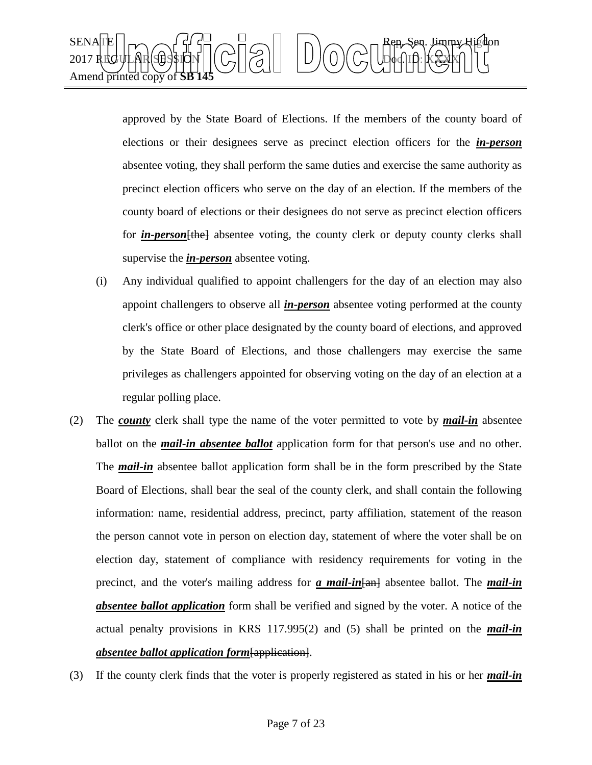

approved by the State Board of Elections. If the members of the county board of elections or their designees serve as precinct election officers for the *in-person* absentee voting, they shall perform the same duties and exercise the same authority as precinct election officers who serve on the day of an election. If the members of the county board of elections or their designees do not serve as precinct election officers for *in-person* [the] absentee voting, the county clerk or deputy county clerks shall supervise the *in-person* absentee voting.

- (i) Any individual qualified to appoint challengers for the day of an election may also appoint challengers to observe all *in-person* absentee voting performed at the county clerk's office or other place designated by the county board of elections, and approved by the State Board of Elections, and those challengers may exercise the same privileges as challengers appointed for observing voting on the day of an election at a regular polling place.
- (2) The *county* clerk shall type the name of the voter permitted to vote by *mail-in* absentee ballot on the *mail-in absentee ballot* application form for that person's use and no other. The **mail-in** absentee ballot application form shall be in the form prescribed by the State Board of Elections, shall bear the seal of the county clerk, and shall contain the following information: name, residential address, precinct, party affiliation, statement of the reason the person cannot vote in person on election day, statement of where the voter shall be on election day, statement of compliance with residency requirements for voting in the precinct, and the voter's mailing address for *a mail-in*[an] absentee ballot. The *mail-in absentee ballot application* form shall be verified and signed by the voter. A notice of the actual penalty provisions in KRS 117.995(2) and (5) shall be printed on the *mail-in absentee ballot application form*[application].
- (3) If the county clerk finds that the voter is properly registered as stated in his or her *mail-in*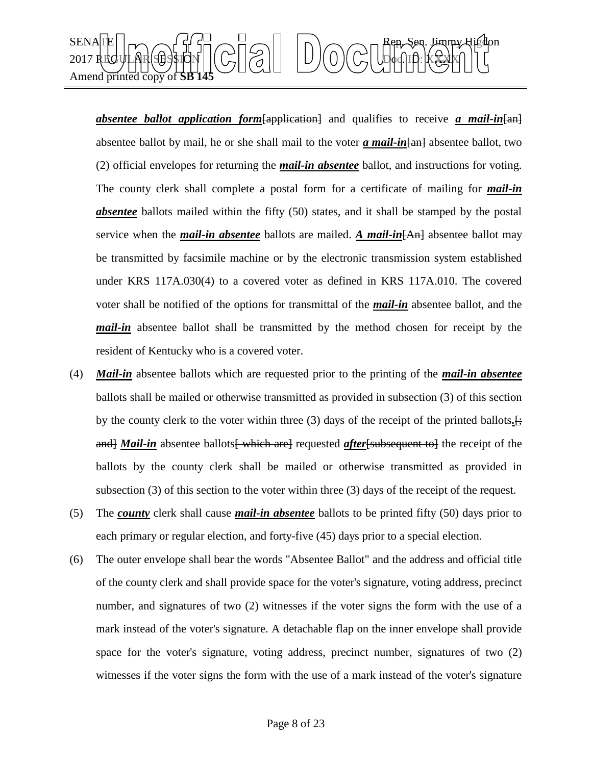

*absentee ballot application form*[application] and qualifies to receive *a mail-in*[an] absentee ballot by mail, he or she shall mail to the voter *a mail-in* [and absentee ballot, two (2) official envelopes for returning the *mail-in absentee* ballot, and instructions for voting. The county clerk shall complete a postal form for a certificate of mailing for *mail-in absentee* ballots mailed within the fifty (50) states, and it shall be stamped by the postal service when the *mail-in absentee* ballots are mailed. *A mail-in*[An] absentee ballot may be transmitted by facsimile machine or by the electronic transmission system established under KRS 117A.030(4) to a covered voter as defined in KRS 117A.010. The covered voter shall be notified of the options for transmittal of the *mail-in* absentee ballot, and the *mail-in* absentee ballot shall be transmitted by the method chosen for receipt by the resident of Kentucky who is a covered voter.

- (4) *Mail-in* absentee ballots which are requested prior to the printing of the *mail-in absentee* ballots shall be mailed or otherwise transmitted as provided in subsection (3) of this section by the county clerk to the voter within three (3) days of the receipt of the printed ballots*.*[; and *Mail-in* absentee ballots which are requested *after* [subsequent to ] the receipt of the ballots by the county clerk shall be mailed or otherwise transmitted as provided in subsection (3) of this section to the voter within three (3) days of the receipt of the request.
- (5) The *county* clerk shall cause *mail-in absentee* ballots to be printed fifty (50) days prior to each primary or regular election, and forty-five (45) days prior to a special election.
- (6) The outer envelope shall bear the words "Absentee Ballot" and the address and official title of the county clerk and shall provide space for the voter's signature, voting address, precinct number, and signatures of two (2) witnesses if the voter signs the form with the use of a mark instead of the voter's signature. A detachable flap on the inner envelope shall provide space for the voter's signature, voting address, precinct number, signatures of two (2) witnesses if the voter signs the form with the use of a mark instead of the voter's signature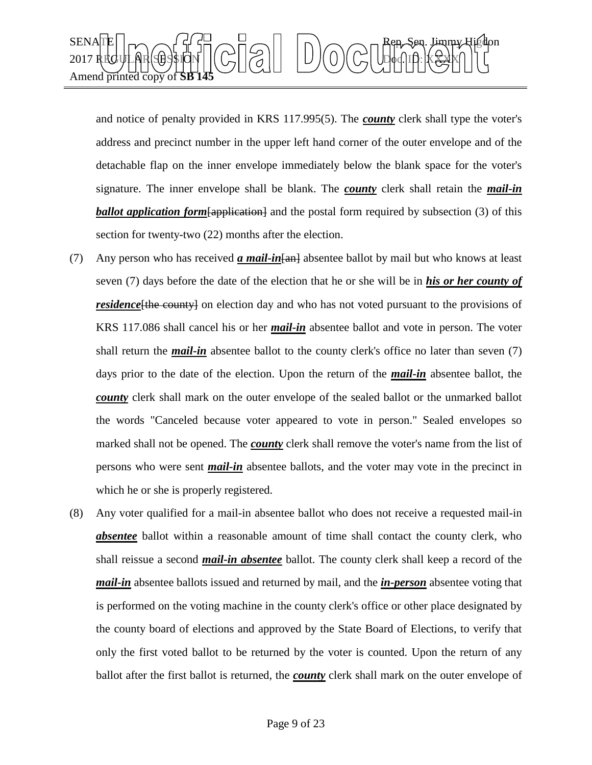

and notice of penalty provided in KRS 117.995(5). The *county* clerk shall type the voter's address and precinct number in the upper left hand corner of the outer envelope and of the detachable flap on the inner envelope immediately below the blank space for the voter's signature. The inner envelope shall be blank. The *county* clerk shall retain the *mail-in*  **ballot application form** [application] and the postal form required by subsection (3) of this section for twenty-two (22) months after the election.

- (7) Any person who has received *a mail-in*[an] absentee ballot by mail but who knows at least seven (7) days before the date of the election that he or she will be in *his or her county of residence*[the county] on election day and who has not voted pursuant to the provisions of KRS 117.086 shall cancel his or her *mail-in* absentee ballot and vote in person. The voter shall return the *mail-in* absentee ballot to the county clerk's office no later than seven (7) days prior to the date of the election. Upon the return of the *mail-in* absentee ballot, the *county* clerk shall mark on the outer envelope of the sealed ballot or the unmarked ballot the words "Canceled because voter appeared to vote in person." Sealed envelopes so marked shall not be opened. The *county* clerk shall remove the voter's name from the list of persons who were sent *mail-in* absentee ballots, and the voter may vote in the precinct in which he or she is properly registered.
- (8) Any voter qualified for a mail-in absentee ballot who does not receive a requested mail-in **absentee** ballot within a reasonable amount of time shall contact the county clerk, who shall reissue a second *mail-in absentee* ballot. The county clerk shall keep a record of the *mail-in* absentee ballots issued and returned by mail, and the *in-person* absentee voting that is performed on the voting machine in the county clerk's office or other place designated by the county board of elections and approved by the State Board of Elections, to verify that only the first voted ballot to be returned by the voter is counted. Upon the return of any ballot after the first ballot is returned, the *county* clerk shall mark on the outer envelope of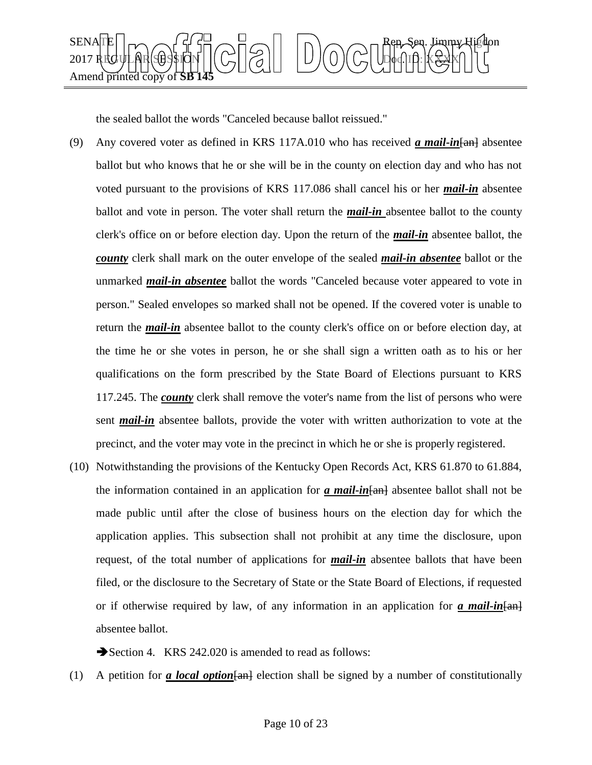

the sealed ballot the words "Canceled because ballot reissued."

- (9) Any covered voter as defined in KRS 117A.010 who has received *a mail-in*[an] absentee ballot but who knows that he or she will be in the county on election day and who has not voted pursuant to the provisions of KRS 117.086 shall cancel his or her *mail-in* absentee ballot and vote in person. The voter shall return the *mail-in* absentee ballot to the county clerk's office on or before election day. Upon the return of the *mail-in* absentee ballot, the *county* clerk shall mark on the outer envelope of the sealed *mail-in absentee* ballot or the unmarked *mail-in absentee* ballot the words "Canceled because voter appeared to vote in person." Sealed envelopes so marked shall not be opened. If the covered voter is unable to return the *mail-in* absentee ballot to the county clerk's office on or before election day, at the time he or she votes in person, he or she shall sign a written oath as to his or her qualifications on the form prescribed by the State Board of Elections pursuant to KRS 117.245. The *county* clerk shall remove the voter's name from the list of persons who were sent *mail-in* absentee ballots, provide the voter with written authorization to vote at the precinct, and the voter may vote in the precinct in which he or she is properly registered.
- (10) Notwithstanding the provisions of the Kentucky Open Records Act, KRS 61.870 to 61.884, the information contained in an application for *a mail-in*[an] absentee ballot shall not be made public until after the close of business hours on the election day for which the application applies. This subsection shall not prohibit at any time the disclosure, upon request, of the total number of applications for *mail-in* absentee ballots that have been filed, or the disclosure to the Secretary of State or the State Board of Elections, if requested or if otherwise required by law, of any information in an application for  $\alpha$  mail-in  $\{\alpha n\}$ absentee ballot.

Section 4. KRS 242.020 is amended to read as follows:

(1) A petition for *a local option*[an] election shall be signed by a number of constitutionally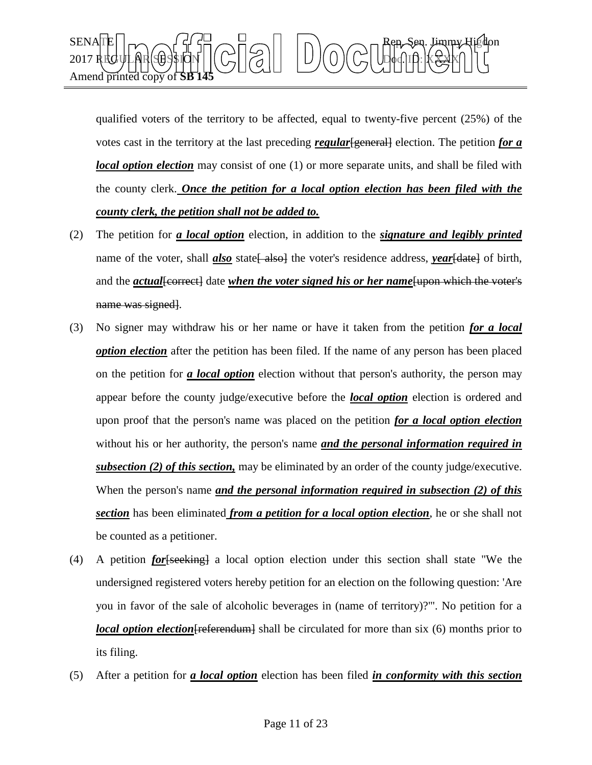

qualified voters of the territory to be affected, equal to twenty-five percent  $(25%)$  of the votes cast in the territory at the last preceding *regular* [general] election. The petition *for a local option election* may consist of one (1) or more separate units, and shall be filed with the county clerk. *Once the petition for a local option election has been filed with the county clerk, the petition shall not be added to.*

- (2) The petition for *a local option* election, in addition to the *signature and legibly printed* name of the voter, shall *also* state<del>[ also]</del> the voter's residence address, *year*[date] of birth, and the *actual* [correct] date *when the voter signed his or her name* [upon which the voter's name was signed.
- (3) No signer may withdraw his or her name or have it taken from the petition *for a local option election* after the petition has been filed. If the name of any person has been placed on the petition for *a local option* election without that person's authority, the person may appear before the county judge/executive before the *local option* election is ordered and upon proof that the person's name was placed on the petition *for a local option election* without his or her authority, the person's name *and the personal information required in subsection (2) of this section,* may be eliminated by an order of the county judge/executive. When the person's name *and the personal information required in subsection (2) of this section* has been eliminated *from a petition for a local option election*, he or she shall not be counted as a petitioner.
- (4) A petition *for*[seeking] a local option election under this section shall state "We the undersigned registered voters hereby petition for an election on the following question: 'Are you in favor of the sale of alcoholic beverages in (name of territory)?'". No petition for a *local option election* [referendum] shall be circulated for more than six (6) months prior to its filing.
- (5) After a petition for *a local option* election has been filed *in conformity with this section*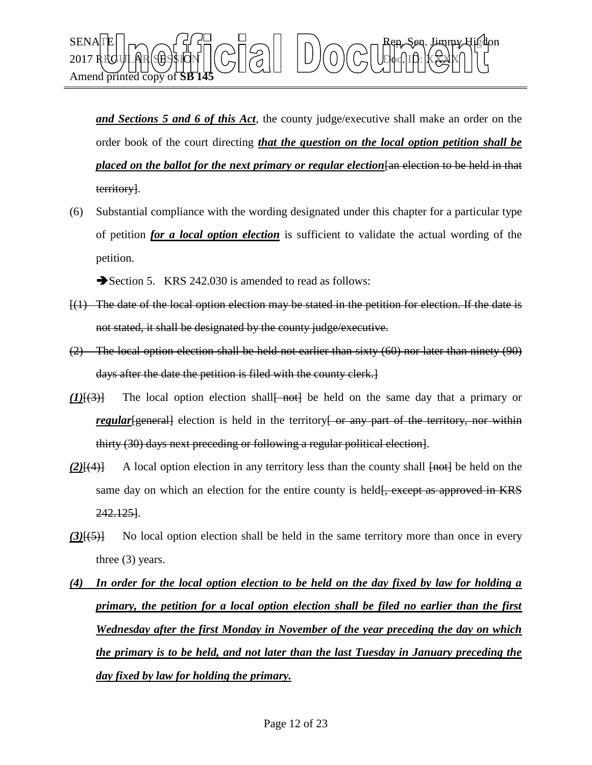

*and Sections 5 and 6 of this Act*, the county judge/executive shall make an order on the order book of the court directing *that the question on the local option petition shall be placed on the ballot for the next primary or regular election*  $\frac{1}{\tan \theta}$  election to be held in that territory].

(6) Substantial compliance with the wording designated under this chapter for a particular type of petition *for a local option election* is sufficient to validate the actual wording of the petition.

Section 5. KRS 242.030 is amended to read as follows:

- $[(1)$  The date of the local option election may be stated in the petition for election. If the date is not stated, it shall be designated by the county judge/executive.
- (2) The local option election shall be held not earlier than sixty (60) nor later than ninety (90) days after the date the petition is filed with the county clerk.]
- *(1)*[(3)] The local option election shall<del>[ not]</del> be held on the same day that a primary or *regular*[general] election is held in the territory<sup>[</sup> or any part of the territory, nor within thirty (30) days next preceding or following a regular political election].
- *(2)*[(4)] A local option election in any territory less than the county shall  $\overline{[not]}$  be held on the same day on which an election for the entire county is held<del>[, except as approved in KRS</del> 242.125].
- *(3)*[(5)] No local option election shall be held in the same territory more than once in every three (3) years.
- *(4) In order for the local option election to be held on the day fixed by law for holding a primary, the petition for a local option election shall be filed no earlier than the first Wednesday after the first Monday in November of the year preceding the day on which the primary is to be held, and not later than the last Tuesday in January preceding the day fixed by law for holding the primary.*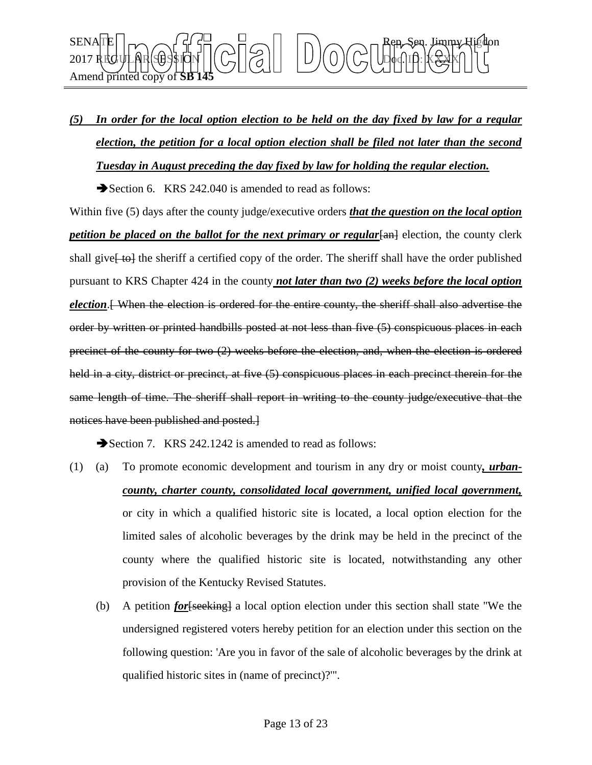

## *(5) In order for the local option election to be held on the day fixed by law for a regular election, the petition for a local option election shall be filed not later than the second Tuesday in August preceding the day fixed by law for holding the regular election.*

Section 6. KRS 242.040 is amended to read as follows:

Within five (5) days after the county judge/executive orders *that the question on the local option petition be placed on the ballot for the next primary or regular*  $\frac{1}{2}$  election, the county clerk shall give<del>[to]</del> the sheriff a certified copy of the order. The sheriff shall have the order published pursuant to KRS Chapter 424 in the county *not later than two (2) weeks before the local option election*.[ When the election is ordered for the entire county, the sheriff shall also advertise the order by written or printed handbills posted at not less than five (5) conspicuous places in each precinct of the county for two (2) weeks before the election, and, when the election is ordered held in a city, district or precinct, at five  $(5)$  conspicuous places in each precinct therein for the same length of time. The sheriff shall report in writing to the county judge/executive that the notices have been published and posted.]

Section 7. KRS 242.1242 is amended to read as follows:

- (1) (a) To promote economic development and tourism in any dry or moist county*, urbancounty, charter county, consolidated local government, unified local government,* or city in which a qualified historic site is located, a local option election for the limited sales of alcoholic beverages by the drink may be held in the precinct of the county where the qualified historic site is located, notwithstanding any other provision of the Kentucky Revised Statutes.
	- (b) A petition *for*[seeking] a local option election under this section shall state "We the undersigned registered voters hereby petition for an election under this section on the following question: 'Are you in favor of the sale of alcoholic beverages by the drink at qualified historic sites in (name of precinct)?'".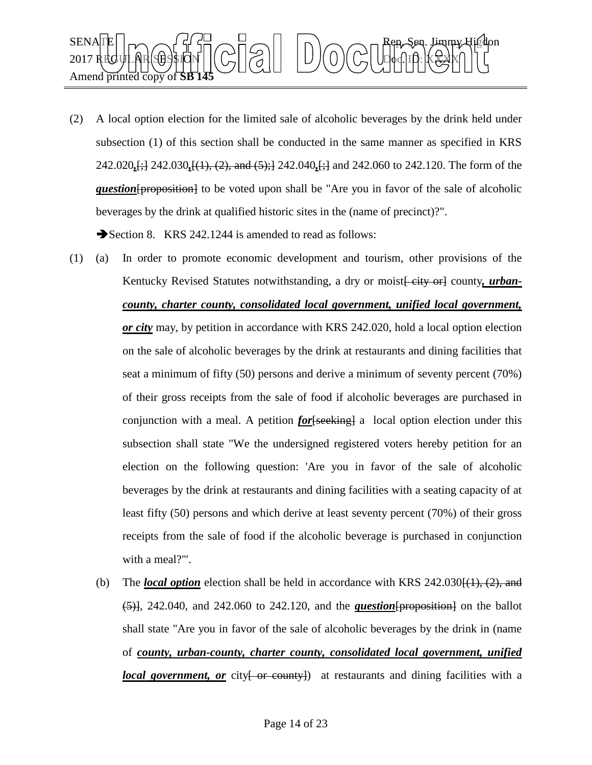

(2) A local option election for the limited sale of alcoholic beverages by the drink held under subsection (1) of this section shall be conducted in the same manner as specified in KRS 242.020*,*[;] 242.030*,*[(1), (2), and (5);] 242.040*,*[;] and 242.060 to 242.120. The form of the *question* [proposition] to be voted upon shall be "Are you in favor of the sale of alcoholic beverages by the drink at qualified historic sites in the (name of precinct)?".

Section 8. KRS 242.1244 is amended to read as follows:

- (1) (a) In order to promote economic development and tourism, other provisions of the Kentucky Revised Statutes notwithstanding, a dry or moist *eity* or county, *urbancounty, charter county, consolidated local government, unified local government, or city* may, by petition in accordance with KRS 242.020, hold a local option election on the sale of alcoholic beverages by the drink at restaurants and dining facilities that seat a minimum of fifty (50) persons and derive a minimum of seventy percent (70%) of their gross receipts from the sale of food if alcoholic beverages are purchased in conjunction with a meal. A petition *for* [seeking] a local option election under this subsection shall state "We the undersigned registered voters hereby petition for an election on the following question: 'Are you in favor of the sale of alcoholic beverages by the drink at restaurants and dining facilities with a seating capacity of at least fifty (50) persons and which derive at least seventy percent (70%) of their gross receipts from the sale of food if the alcoholic beverage is purchased in conjunction with a meal?'".
	- (b) The *local option* election shall be held in accordance with KRS  $242.030\{(1), (2),$  and (5)], 242.040, and 242.060 to 242.120, and the *question*[proposition] on the ballot shall state "Are you in favor of the sale of alcoholic beverages by the drink in (name of *county, urban-county, charter county, consolidated local government, unified local government, or* city[ or county]) at restaurants and dining facilities with a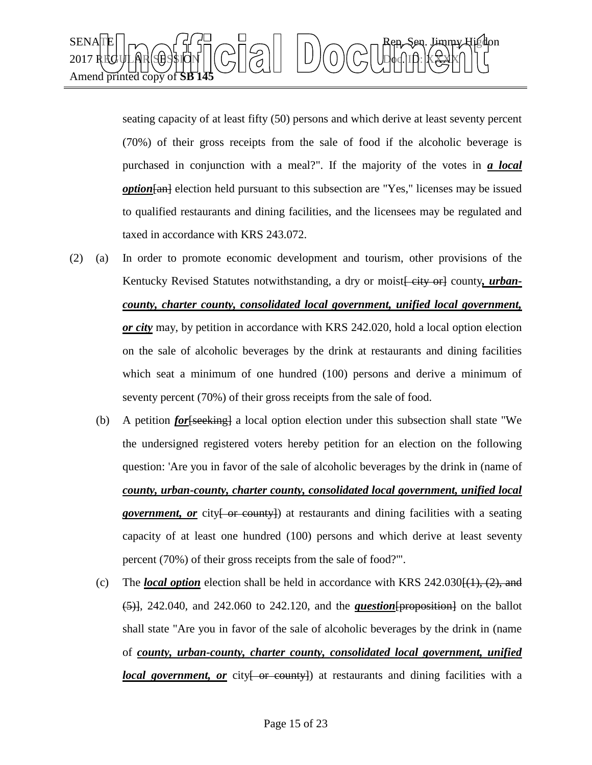

seating capacity of at least fifty (50) persons and which derive at least seventy percent (70%) of their gross receipts from the sale of food if the alcoholic beverage is purchased in conjunction with a meal?". If the majority of the votes in *a local option*  $\overline{tan}$  election held pursuant to this subsection are "Yes," licenses may be issued to qualified restaurants and dining facilities, and the licensees may be regulated and taxed in accordance with KRS 243.072.

- (2) (a) In order to promote economic development and tourism, other provisions of the Kentucky Revised Statutes notwithstanding, a dry or moist *eity* or county, *urbancounty, charter county, consolidated local government, unified local government, or city* may, by petition in accordance with KRS 242.020, hold a local option election on the sale of alcoholic beverages by the drink at restaurants and dining facilities which seat a minimum of one hundred (100) persons and derive a minimum of seventy percent (70%) of their gross receipts from the sale of food.
	- (b) A petition *for*[seeking] a local option election under this subsection shall state "We the undersigned registered voters hereby petition for an election on the following question: 'Are you in favor of the sale of alcoholic beverages by the drink in (name of *county, urban-county, charter county, consolidated local government, unified local government, or* city { or county}) at restaurants and dining facilities with a seating capacity of at least one hundred (100) persons and which derive at least seventy percent (70%) of their gross receipts from the sale of food?'".
	- (c) The *local option* election shall be held in accordance with KRS  $242.030\{(1), (2),$  and  $(5)$ , 242.040, and 242.060 to 242.120, and the *question* [proposition] on the ballot shall state "Are you in favor of the sale of alcoholic beverages by the drink in (name of *county, urban-county, charter county, consolidated local government, unified local government, or* city { or county}) at restaurants and dining facilities with a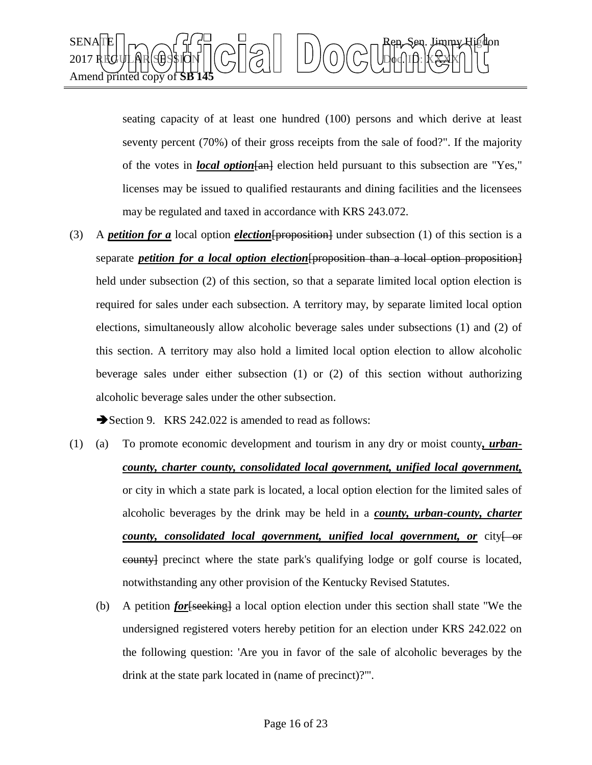

seating capacity of at least one hundred (100) persons and which derive at least seventy percent (70%) of their gross receipts from the sale of food?". If the majority of the votes in *local option*[an] election held pursuant to this subsection are "Yes," licenses may be issued to qualified restaurants and dining facilities and the licensees may be regulated and taxed in accordance with KRS 243.072.

(3) A *petition for a* local option *election*[proposition] under subsection (1) of this section is a separate *petition for a local option election*[proposition than a local option proposition] held under subsection (2) of this section, so that a separate limited local option election is required for sales under each subsection. A territory may, by separate limited local option elections, simultaneously allow alcoholic beverage sales under subsections (1) and (2) of this section. A territory may also hold a limited local option election to allow alcoholic beverage sales under either subsection (1) or (2) of this section without authorizing alcoholic beverage sales under the other subsection.

Section 9. KRS 242.022 is amended to read as follows:

- (1) (a) To promote economic development and tourism in any dry or moist county*, urbancounty, charter county, consolidated local government, unified local government,* or city in which a state park is located, a local option election for the limited sales of alcoholic beverages by the drink may be held in a *county, urban-county, charter county, consolidated local government, unified local government, or* city for county] precinct where the state park's qualifying lodge or golf course is located, notwithstanding any other provision of the Kentucky Revised Statutes.
	- (b) A petition *for*[seeking] a local option election under this section shall state "We the undersigned registered voters hereby petition for an election under KRS 242.022 on the following question: 'Are you in favor of the sale of alcoholic beverages by the drink at the state park located in (name of precinct)?'".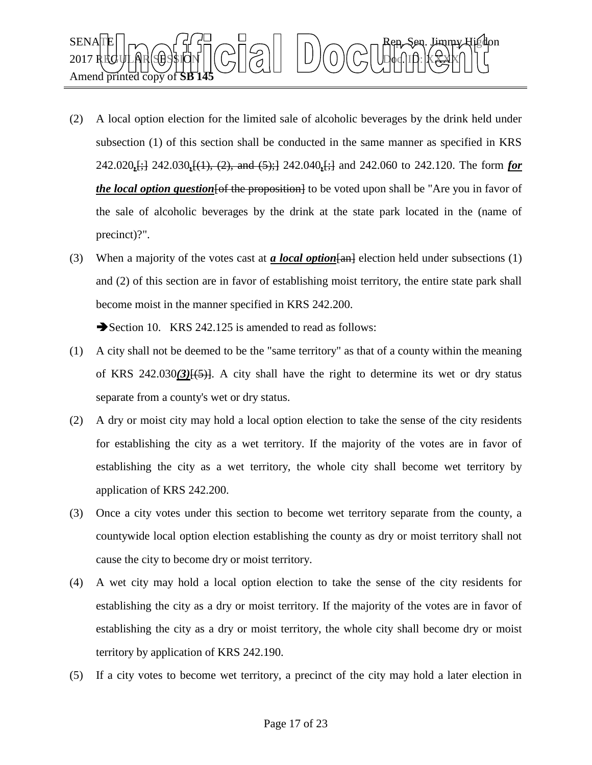

- (2) A local option election for the limited sale of alcoholic beverages by the drink held under subsection (1) of this section shall be conducted in the same manner as specified in KRS 242.020*,*[;] 242.030*,*[(1), (2), and (5);] 242.040*,*[;] and 242.060 to 242.120. The form *for the local option question* [of the proposition] to be voted upon shall be "Are you in favor of the sale of alcoholic beverages by the drink at the state park located in the (name of precinct)?".
- (3) When a majority of the votes cast at *a local option*[an] election held under subsections (1) and (2) of this section are in favor of establishing moist territory, the entire state park shall become moist in the manner specified in KRS 242.200.

Section 10. KRS 242.125 is amended to read as follows:

- (1) A city shall not be deemed to be the "same territory" as that of a county within the meaning of KRS  $242.030(3)(5)$ }. A city shall have the right to determine its wet or dry status separate from a county's wet or dry status.
- (2) A dry or moist city may hold a local option election to take the sense of the city residents for establishing the city as a wet territory. If the majority of the votes are in favor of establishing the city as a wet territory, the whole city shall become wet territory by application of KRS 242.200.
- (3) Once a city votes under this section to become wet territory separate from the county, a countywide local option election establishing the county as dry or moist territory shall not cause the city to become dry or moist territory.
- (4) A wet city may hold a local option election to take the sense of the city residents for establishing the city as a dry or moist territory. If the majority of the votes are in favor of establishing the city as a dry or moist territory, the whole city shall become dry or moist territory by application of KRS 242.190.
- (5) If a city votes to become wet territory, a precinct of the city may hold a later election in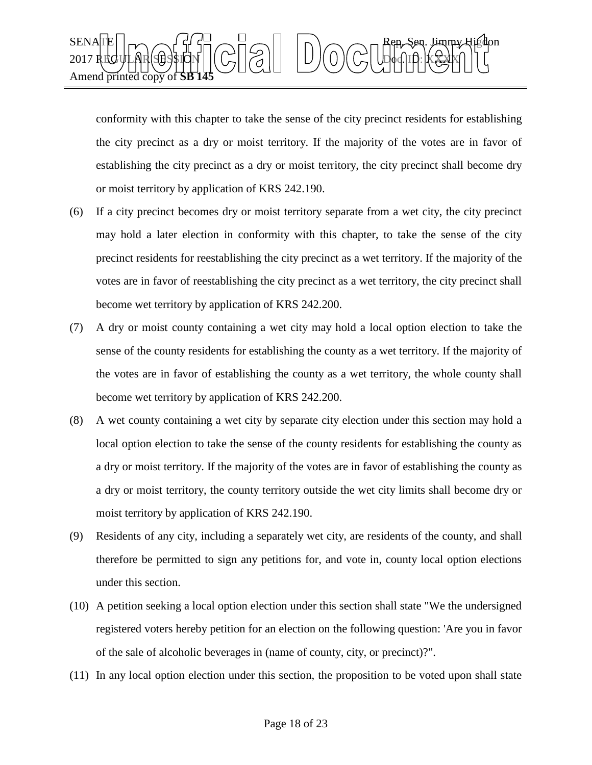

conformity with this chapter to take the sense of the city precinct residents for establishing the city precinct as a dry or moist territory. If the majority of the votes are in favor of establishing the city precinct as a dry or moist territory, the city precinct shall become dry or moist territory by application of KRS 242.190.

- (6) If a city precinct becomes dry or moist territory separate from a wet city, the city precinct may hold a later election in conformity with this chapter, to take the sense of the city precinct residents for reestablishing the city precinct as a wet territory. If the majority of the votes are in favor of reestablishing the city precinct as a wet territory, the city precinct shall become wet territory by application of KRS 242.200.
- (7) A dry or moist county containing a wet city may hold a local option election to take the sense of the county residents for establishing the county as a wet territory. If the majority of the votes are in favor of establishing the county as a wet territory, the whole county shall become wet territory by application of KRS 242.200.
- (8) A wet county containing a wet city by separate city election under this section may hold a local option election to take the sense of the county residents for establishing the county as a dry or moist territory. If the majority of the votes are in favor of establishing the county as a dry or moist territory, the county territory outside the wet city limits shall become dry or moist territory by application of KRS 242.190.
- (9) Residents of any city, including a separately wet city, are residents of the county, and shall therefore be permitted to sign any petitions for, and vote in, county local option elections under this section.
- (10) A petition seeking a local option election under this section shall state "We the undersigned registered voters hereby petition for an election on the following question: 'Are you in favor of the sale of alcoholic beverages in (name of county, city, or precinct)?".
- (11) In any local option election under this section, the proposition to be voted upon shall state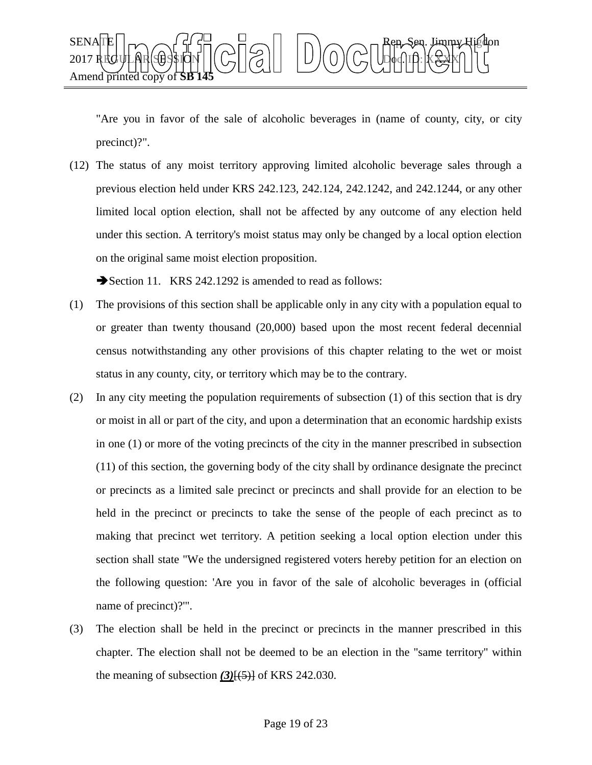

"Are you in favor of the sale of alcoholic beverages in (name of county, city, or city precinct)?".

(12) The status of any moist territory approving limited alcoholic beverage sales through a previous election held under KRS 242.123, 242.124, 242.1242, and 242.1244, or any other limited local option election, shall not be affected by any outcome of any election held under this section. A territory's moist status may only be changed by a local option election on the original same moist election proposition.

Section 11. KRS 242.1292 is amended to read as follows:

- (1) The provisions of this section shall be applicable only in any city with a population equal to or greater than twenty thousand (20,000) based upon the most recent federal decennial census notwithstanding any other provisions of this chapter relating to the wet or moist status in any county, city, or territory which may be to the contrary.
- (2) In any city meeting the population requirements of subsection (1) of this section that is dry or moist in all or part of the city, and upon a determination that an economic hardship exists in one (1) or more of the voting precincts of the city in the manner prescribed in subsection (11) of this section, the governing body of the city shall by ordinance designate the precinct or precincts as a limited sale precinct or precincts and shall provide for an election to be held in the precinct or precincts to take the sense of the people of each precinct as to making that precinct wet territory. A petition seeking a local option election under this section shall state "We the undersigned registered voters hereby petition for an election on the following question: 'Are you in favor of the sale of alcoholic beverages in (official name of precinct)?'".
- (3) The election shall be held in the precinct or precincts in the manner prescribed in this chapter. The election shall not be deemed to be an election in the "same territory" within the meaning of subsection  $(3)$ [ $(5)$ ] of KRS 242.030.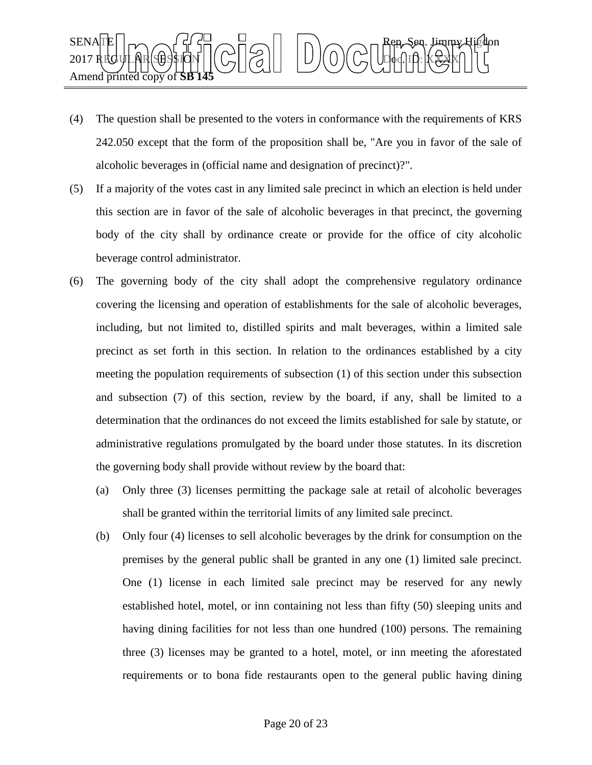

- (4) The question shall be presented to the voters in conformance with the requirements of KRS 242.050 except that the form of the proposition shall be, "Are you in favor of the sale of alcoholic beverages in (official name and designation of precinct)?".
- (5) If a majority of the votes cast in any limited sale precinct in which an election is held under this section are in favor of the sale of alcoholic beverages in that precinct, the governing body of the city shall by ordinance create or provide for the office of city alcoholic beverage control administrator.
- (6) The governing body of the city shall adopt the comprehensive regulatory ordinance covering the licensing and operation of establishments for the sale of alcoholic beverages, including, but not limited to, distilled spirits and malt beverages, within a limited sale precinct as set forth in this section. In relation to the ordinances established by a city meeting the population requirements of subsection (1) of this section under this subsection and subsection (7) of this section, review by the board, if any, shall be limited to a determination that the ordinances do not exceed the limits established for sale by statute, or administrative regulations promulgated by the board under those statutes. In its discretion the governing body shall provide without review by the board that:
	- (a) Only three (3) licenses permitting the package sale at retail of alcoholic beverages shall be granted within the territorial limits of any limited sale precinct.
	- (b) Only four (4) licenses to sell alcoholic beverages by the drink for consumption on the premises by the general public shall be granted in any one (1) limited sale precinct. One (1) license in each limited sale precinct may be reserved for any newly established hotel, motel, or inn containing not less than fifty (50) sleeping units and having dining facilities for not less than one hundred (100) persons. The remaining three (3) licenses may be granted to a hotel, motel, or inn meeting the aforestated requirements or to bona fide restaurants open to the general public having dining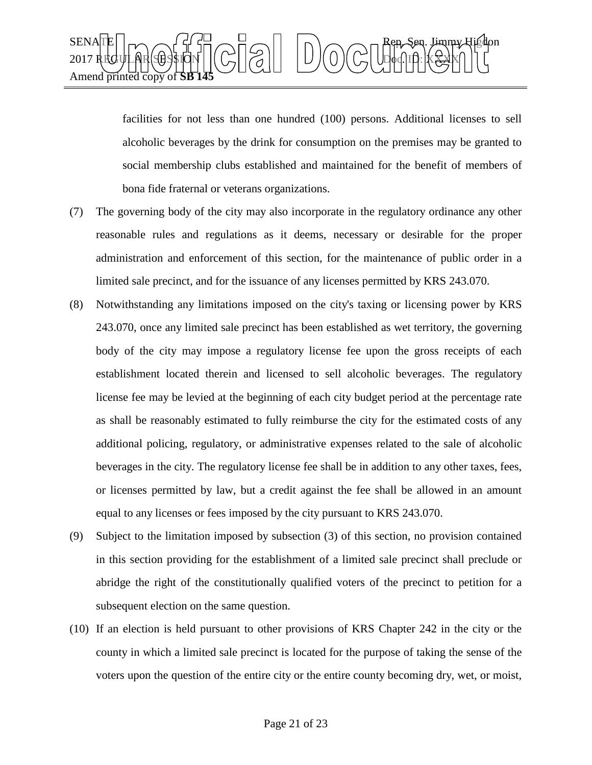

facilities for not less than one hundred (100) persons. Additional licenses to sell alcoholic beverages by the drink for consumption on the premises may be granted to social membership clubs established and maintained for the benefit of members of bona fide fraternal or veterans organizations.

- (7) The governing body of the city may also incorporate in the regulatory ordinance any other reasonable rules and regulations as it deems, necessary or desirable for the proper administration and enforcement of this section, for the maintenance of public order in a limited sale precinct, and for the issuance of any licenses permitted by KRS 243.070.
- (8) Notwithstanding any limitations imposed on the city's taxing or licensing power by KRS 243.070, once any limited sale precinct has been established as wet territory, the governing body of the city may impose a regulatory license fee upon the gross receipts of each establishment located therein and licensed to sell alcoholic beverages. The regulatory license fee may be levied at the beginning of each city budget period at the percentage rate as shall be reasonably estimated to fully reimburse the city for the estimated costs of any additional policing, regulatory, or administrative expenses related to the sale of alcoholic beverages in the city. The regulatory license fee shall be in addition to any other taxes, fees, or licenses permitted by law, but a credit against the fee shall be allowed in an amount equal to any licenses or fees imposed by the city pursuant to KRS 243.070.
- (9) Subject to the limitation imposed by subsection (3) of this section, no provision contained in this section providing for the establishment of a limited sale precinct shall preclude or abridge the right of the constitutionally qualified voters of the precinct to petition for a subsequent election on the same question.
- (10) If an election is held pursuant to other provisions of KRS Chapter 242 in the city or the county in which a limited sale precinct is located for the purpose of taking the sense of the voters upon the question of the entire city or the entire county becoming dry, wet, or moist,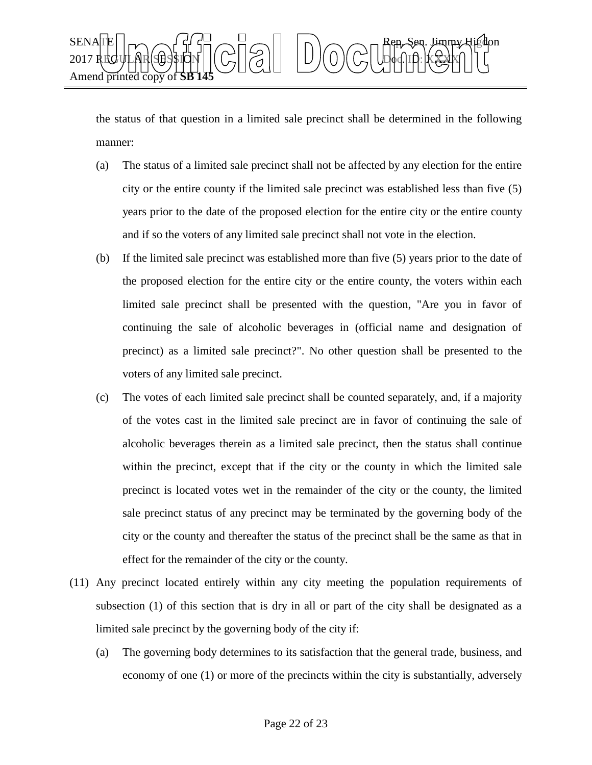

the status of that question in a limited sale precinct shall be determined in the following manner:

- (a) The status of a limited sale precinct shall not be affected by any election for the entire city or the entire county if the limited sale precinct was established less than five (5) years prior to the date of the proposed election for the entire city or the entire county and if so the voters of any limited sale precinct shall not vote in the election.
- (b) If the limited sale precinct was established more than five (5) years prior to the date of the proposed election for the entire city or the entire county, the voters within each limited sale precinct shall be presented with the question, "Are you in favor of continuing the sale of alcoholic beverages in (official name and designation of precinct) as a limited sale precinct?". No other question shall be presented to the voters of any limited sale precinct.
- (c) The votes of each limited sale precinct shall be counted separately, and, if a majority of the votes cast in the limited sale precinct are in favor of continuing the sale of alcoholic beverages therein as a limited sale precinct, then the status shall continue within the precinct, except that if the city or the county in which the limited sale precinct is located votes wet in the remainder of the city or the county, the limited sale precinct status of any precinct may be terminated by the governing body of the city or the county and thereafter the status of the precinct shall be the same as that in effect for the remainder of the city or the county.
- (11) Any precinct located entirely within any city meeting the population requirements of subsection (1) of this section that is dry in all or part of the city shall be designated as a limited sale precinct by the governing body of the city if:
	- (a) The governing body determines to its satisfaction that the general trade, business, and economy of one (1) or more of the precincts within the city is substantially, adversely